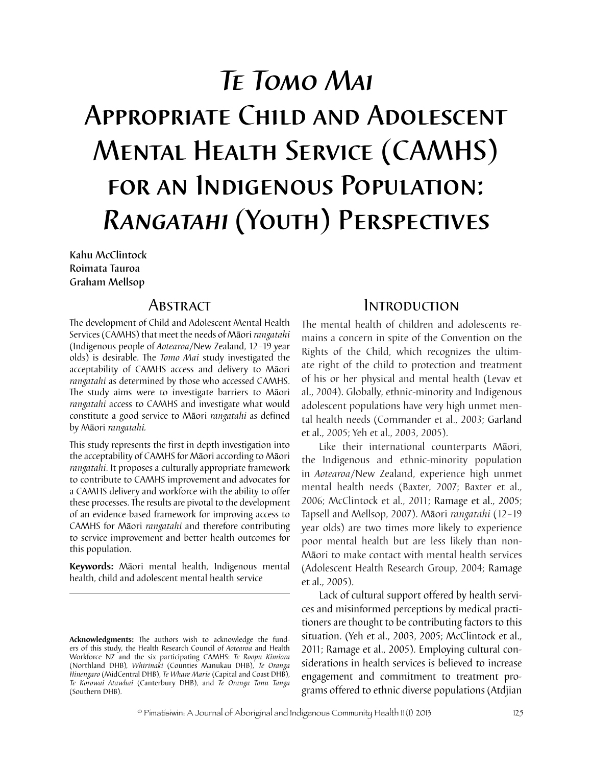# Te Tomo Mai Appropriate Child and Adolescent Mental Health Service (CAMHS) for an Indigenous Population: Rangatahi (Youth) Perspectives

Kahu McClintock Roimata Tauroa Graham Mellsop

# **Abstract**

The development of Child and Adolescent Mental Health Services (CAMHS) that meet the needs of Māori *rangatahi* (Indigenous people of *Aotearoa*/New Zealand, 12–19 year olds) is desirable. The *Tomo Mai* study investigated the acceptability of CAMHS access and delivery to Māori *rangatahi* as determined by those who accessed CAMHS. The study aims were to investigate barriers to Māori *rangatahi* access to CAMHS and investigate what would constitute a good service to Māori *rangatahi* as defined by Māori *rangatahi.*

This study represents the first in depth investigation into the acceptability of CAMHS for Māori according to Māori *rangatahi*. It proposes a culturally appropriate framework to contribute to CAMHS improvement and advocates for a CAMHS delivery and workforce with the ability to offer these processes. The results are pivotal to the development of an evidence-based framework for improving access to CAMHS for Māori *rangatahi* and therefore contributing to service improvement and better health outcomes for this population.

**Keywords:** Māori mental health, Indigenous mental health, child and adolescent mental health service

# Introduction

The mental health of children and adolescents remains a concern in spite of the Convention on the Rights of the Child, which recognizes the ultimate right of the child to protection and treatment of his or her physical and mental health (Levav et al., 2004). Globally, ethnic-minority and Indigenous adolescent populations have very high unmet mental health needs (Commander et al., 2003; Garland et al., 2005; Yeh et al., 2003, 2005).

Like their international counterparts Māori, the Indigenous and ethnic-minority population in *Aotearoa*/New Zealand, experience high unmet mental health needs (Baxter, 2007; Baxter et al., 2006; McClintock et al., 2011; Ramage et al., 2005; Tapsell and Mellsop, 2007). Māori *rangatahi* (12–19 year olds) are two times more likely to experience poor mental health but are less likely than non-Māori to make contact with mental health services (Adolescent Health Research Group, 2004; Ramage et al., 2005).

Lack of cultural support offered by health services and misinformed perceptions by medical practitioners are thought to be contributing factors to this situation. (Yeh et al., 2003, 2005; McClintock et al., 2011; Ramage et al., 2005). Employing cultural considerations in health services is believed to increase engagement and commitment to treatment programs offered to ethnic diverse populations (Atdjian

**Acknowledgments:** The authors wish to acknowledge the funders of this study, the Health Research Council of *Aotearoa* and Health Workforce NZ and the six participating CAMHS: *Te Roopu Kimiora*  (Northland DHB)*, Whirinaki* (Counties Manukau DHB), *Te Oranga Hinengaro* (MidCentral DHB), *Te Whare Marie* (Capital and Coast DHB), *Te Korowai Atawhai* (Canterbury DHB), and *Te Oranga Tonu Tanga*  (Southern DHB).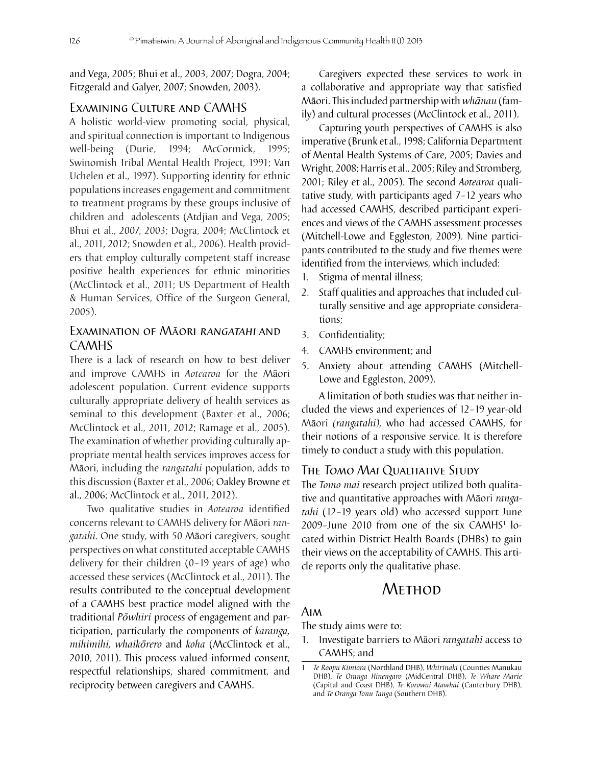and Vega, 2005; Bhui et al., 2003, 2007; Dogra, 2004; Fitzgerald and Galyer, 2007; Snowden, 2003).

### Examining Culture and CAMHS

A holistic world-view promoting social, physical, and spiritual connection is important to Indigenous well-being (Durie, 1994; McCormick, 1995; Swinomish Tribal Mental Health Project, 1991; Van Uchelen et al., 1997). Supporting identity for ethnic populations increases engagement and commitment to treatment programs by these groups inclusive of children and adolescents (Atdjian and Vega, 2005; Bhui et al., 2007, 2003; Dogra, 2004; McClintock et al., 2011, 2012; Snowden et al., 2006). Health providers that employ culturally competent staff increase positive health experiences for ethnic minorities (McClintock et al., 2011; US Department of Health & Human Services, Office of the Surgeon General, 2005).

## Examination of Māori rangatahi and **CAMHS**

There is a lack of research on how to best deliver and improve CAMHS in *Aotearoa* for the Māori adolescent population. Current evidence supports culturally appropriate delivery of health services as seminal to this development (Baxter et al., 2006; McClintock et al., 2011, 2012; Ramage et al., 2005). The examination of whether providing culturally appropriate mental health services improves access for Māori, including the *rangatahi* population, adds to this discussion (Baxter et al., 2006; Oakley Browne et al., 2006; McClintock et al., 2011, 2012).

Two qualitative studies in *Aotearoa* identified concerns relevant to CAMHS delivery for Māori *rangatahi*. One study, with 50 Māori caregivers, sought perspectives on what constituted acceptable CAMHS delivery for their children (0–19 years of age) who accessed these services (McClintock et al., 2011). The results contributed to the conceptual development of a CAMHS best practice model aligned with the traditional *Pōwhiri* process of engagement and participation, particularly the components of *karanga, mihimihi, whaikōrero* and *koha* (McClintock et al., 2010, 2011). This process valued informed consent, respectful relationships, shared commitment, and reciprocity between caregivers and CAMHS.

Caregivers expected these services to work in a collaborative and appropriate way that satisfied Māori. This included partnership with *whānau* (family) and cultural processes (McClintock et al., 2011).

Capturing youth perspectives of CAMHS is also imperative (Brunk et al., 1998; California Department of Mental Health Systems of Care, 2005; Davies and Wright, 2008; Harris et al., 2005; Riley and Stromberg, 2001; Riley et al., 2005). The second *Aotearoa* qualitative study, with participants aged 7–12 years who had accessed CAMHS, described participant experiences and views of the CAMHS assessment processes (Mitchell-Lowe and Eggleston, 2009). Nine participants contributed to the study and five themes were identified from the interviews, which included:

- 1. Stigma of mental illness;
- 2. Staff qualities and approaches that included culturally sensitive and age appropriate considerations;
- 3. Confidentiality;
- 4. CAMHS environment; and
- 5. Anxiety about attending CAMHS (Mitchell-Lowe and Eggleston, 2009).

A limitation of both studies was that neither included the views and experiences of 12–19 year-old Māori *(rangatahi),* who had accessed CAMHS, for their notions of a responsive service. It is therefore timely to conduct a study with this population.

## The Tomo Mai Qualitative Study

The *Tomo mai* research project utilized both qualitative and quantitative approaches with Māori *rangatahi* (12–19 years old) who accessed support June 2009–June 2010 from one of the six CAMHS<sup>1</sup> located within District Health Boards (DHBs) to gain their views on the acceptability of CAMHS. This article reports only the qualitative phase.

# Method

#### Aim

The study aims were to:

1. Investigate barriers to Māori *rangatahi* access to CAMHS; and

<sup>1</sup> *Te Roopu Kimiora* (Northland DHB), *Whirinaki* (Counties Manukau DHB), *Te Oranga Hinengaro* (MidCentral DHB), *Te Whare Marie*  (Capital and Coast DHB), *Te Korowai Atawhai* (Canterbury DHB), and *Te Oranga Tonu Tanga* (Southern DHB).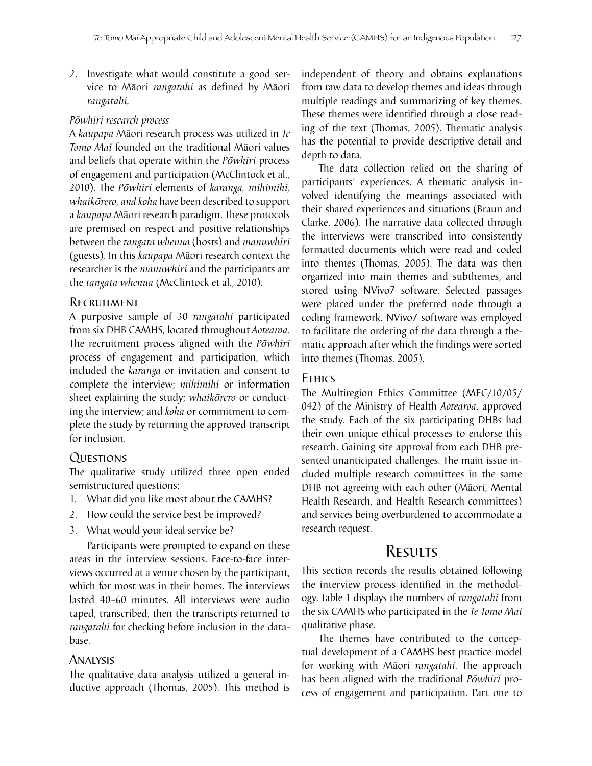2. Investigate what would constitute a good service to Māori *rangatahi* as defined by Māori *rangatahi.*

## *Pōwhiri research process*

A *kaupapa* Māori research process was utilized in *Te Tomo Mai* founded on the traditional Māori values and beliefs that operate within the *Pōwhiri* process of engagement and participation (McClintock et al., 2010). The *Pōwhiri* elements of *karanga, mihimihi, whaikōrero, and koha* have been described to support a *kaupapa* Māori research paradigm. These protocols are premised on respect and positive relationships between the *tangata whenua* (hosts) and *manuwhiri* (guests). In this *kaupapa* Māori research context the researcher is the *manuwhiri* and the participants are the *tangata whenua* (McClintock et al., 2010).

## **RECRUITMENT**

A purposive sample of 30 *rangatahi* participated from six DHB CAMHS, located throughout *Aotearoa*. The recruitment process aligned with the *Pōwhiri*  process of engagement and participation, which included the *karanga* or invitation and consent to complete the interview; *mihimihi* or information sheet explaining the study; *whaikōrero* or conducting the interview; and *koha* or commitment to complete the study by returning the approved transcript for inclusion.

## Questions

The qualitative study utilized three open ended semistructured questions:

- 1. What did you like most about the CAMHS?
- 2. How could the service best be improved?
- 3. What would your ideal service be?

Participants were prompted to expand on these areas in the interview sessions. Face-to-face interviews occurred at a venue chosen by the participant, which for most was in their homes. The interviews lasted 40–60 minutes. All interviews were audio taped, transcribed, then the transcripts returned to *rangatahi* for checking before inclusion in the database.

## Analysis

The qualitative data analysis utilized a general inductive approach (Thomas, 2005). This method is

independent of theory and obtains explanations from raw data to develop themes and ideas through multiple readings and summarizing of key themes. These themes were identified through a close reading of the text (Thomas, 2005). Thematic analysis has the potential to provide descriptive detail and depth to data.

The data collection relied on the sharing of participants' experiences. A thematic analysis involved identifying the meanings associated with their shared experiences and situations (Braun and Clarke, 2006). The narrative data collected through the interviews were transcribed into consistently formatted documents which were read and coded into themes (Thomas, 2005). The data was then organized into main themes and subthemes, and stored using NVivo7 software. Selected passages were placed under the preferred node through a coding framework. NVivo7 software was employed to facilitate the ordering of the data through a thematic approach after which the findings were sorted into themes (Thomas, 2005).

## Ethics

The Multiregion Ethics Committee (MEC/10/05/ 042) of the Ministry of Health *Aotearoa*, approved the study. Each of the six participating DHBs had their own unique ethical processes to endorse this research. Gaining site approval from each DHB presented unanticipated challenges. The main issue included multiple research committees in the same DHB not agreeing with each other (Māori, Mental Health Research, and Health Research committees) and services being overburdened to accommodate a research request.

# Results

This section records the results obtained following the interview process identified in the methodology. Table 1 displays the numbers of *rangatahi* from the six CAMHS who participated in the *Te Tomo Mai* qualitative phase.

The themes have contributed to the conceptual development of a CAMHS best practice model for working with Māori *rangatahi*. The approach has been aligned with the traditional *Pōwhiri* process of engagement and participation. Part one to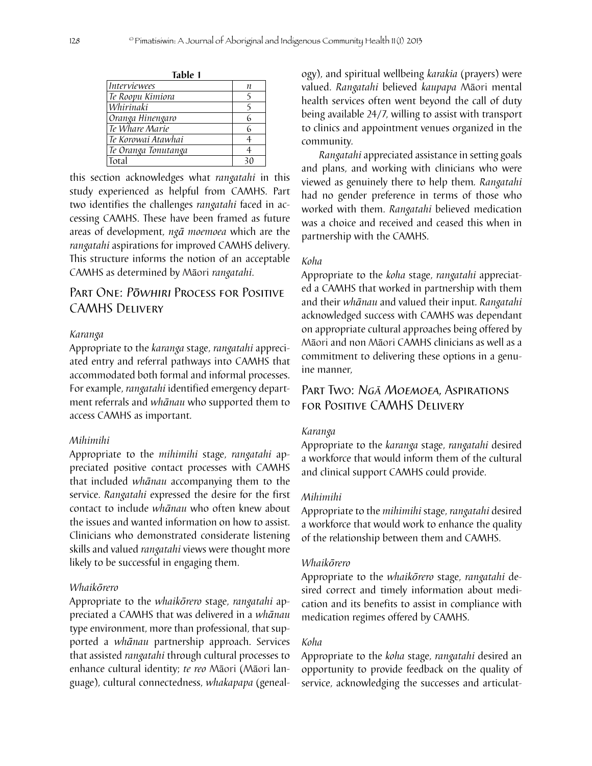| Table 1                     |    |
|-----------------------------|----|
| <i>Interviewees</i>         | n  |
| Te Roopu Kimiora            | 5  |
| Whirinaki                   | 5  |
| Oranga Hinengaro            | 6  |
| Te Whare Marie              | 6  |
| Te Korowai Atawhai          |    |
| Te Or <u>anga Tonutanga</u> |    |
| Total                       | 30 |

this section acknowledges what *rangatahi* in this study experienced as helpful from CAMHS. Part two identifies the challenges *rangatahi* faced in accessing CAMHS. These have been framed as future areas of development, *ngā moemoea* which are the *rangatahi* aspirations for improved CAMHS delivery. This structure informs the notion of an acceptable CAMHS as determined by Māori *rangatahi*.

# Part One: <sup>P</sup>ōwhiri Process for Positive CAMHS Delivery

#### *Karanga*

Appropriate to the *karanga* stage, *rangatahi* appreciated entry and referral pathways into CAMHS that accommodated both formal and informal processes. For example, *rangatahi* identified emergency department referrals and *whānau* who supported them to access CAMHS as important.

#### *Mihimihi*

Appropriate to the *mihimihi* stage, *rangatahi* appreciated positive contact processes with CAMHS that included *whānau* accompanying them to the service. *Rangatahi* expressed the desire for the first contact to include *whānau* who often knew about the issues and wanted information on how to assist. Clinicians who demonstrated considerate listening skills and valued *rangatahi* views were thought more likely to be successful in engaging them.

#### *Whaikōrero*

Appropriate to the *whaikōrero* stage, *rangatahi* appreciated a CAMHS that was delivered in a *whānau* type environment, more than professional, that supported a *whānau* partnership approach. Services that assisted *rangatahi* through cultural processes to enhance cultural identity; *te reo* Māori (Māori language), cultural connectedness, *whakapapa* (geneal-

ogy), and spiritual wellbeing *karakia* (prayers) were valued. *Rangatahi* believed *kaupapa* Māori mental health services often went beyond the call of duty being available 24/7, willing to assist with transport to clinics and appointment venues organized in the community.

*Rangatahi* appreciated assistance in setting goals and plans, and working with clinicians who were viewed as genuinely there to help them*. Rangatahi*  had no gender preference in terms of those who worked with them. *Rangatahi* believed medication was a choice and received and ceased this when in partnership with the CAMHS.

#### *Koha*

Appropriate to the *koha* stage, *rangatahi* appreciated a CAMHS that worked in partnership with them and their *whānau* and valued their input. *Rangatahi*  acknowledged success with CAMHS was dependant on appropriate cultural approaches being offered by Māori and non Māori CAMHS clinicians as well as a commitment to delivering these options in a genuine manner,

# Part Two: Ngā Moemoea, Aspirations for Positive CAMHS Delivery

#### *Karanga*

Appropriate to the *karanga* stage, *rangatahi* desired a workforce that would inform them of the cultural and clinical support CAMHS could provide.

#### *Mihimihi*

Appropriate to the *mihimihi* stage, *rangatahi* desired a workforce that would work to enhance the quality of the relationship between them and CAMHS.

#### *Whaikōrero*

Appropriate to the *whaikōrero* stage, *rangatahi* desired correct and timely information about medication and its benefits to assist in compliance with medication regimes offered by CAMHS.

#### *Koha*

Appropriate to the *koha* stage, *rangatahi* desired an opportunity to provide feedback on the quality of service, acknowledging the successes and articulat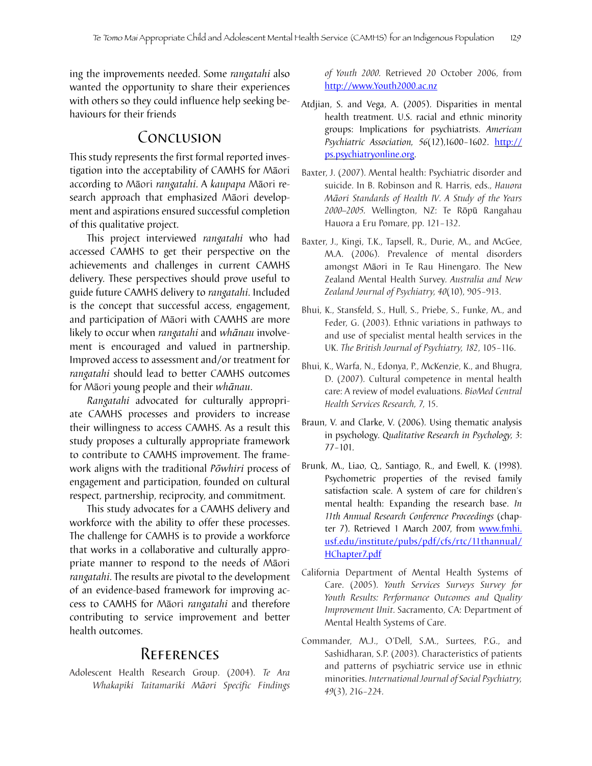ing the improvements needed. Some *rangatahi* also wanted the opportunity to share their experiences with others so they could influence help seeking behaviours for their friends

# Conclusion

This study represents the first formal reported investigation into the acceptability of CAMHS for Māori according to Māori *rangatahi*. A *kaupapa* Māori research approach that emphasized Māori development and aspirations ensured successful completion of this qualitative project.

This project interviewed *rangatahi* who had accessed CAMHS to get their perspective on the achievements and challenges in current CAMHS delivery. These perspectives should prove useful to guide future CAMHS delivery to *rangatahi*. Included is the concept that successful access, engagement, and participation of Māori with CAMHS are more likely to occur when *rangatahi* and *whānau* involvement is encouraged and valued in partnership. Improved access to assessment and/or treatment for *rangatahi* should lead to better CAMHS outcomes for Māori young people and their *whānau*.

*Rangatahi* advocated for culturally appropriate CAMHS processes and providers to increase their willingness to access CAMHS. As a result this study proposes a culturally appropriate framework to contribute to CAMHS improvement. The framework aligns with the traditional *Pōwhiri* process of engagement and participation, founded on cultural respect, partnership, reciprocity, and commitment.

This study advocates for a CAMHS delivery and workforce with the ability to offer these processes. The challenge for CAMHS is to provide a workforce that works in a collaborative and culturally appropriate manner to respond to the needs of Māori *rangatahi*. The results are pivotal to the development of an evidence-based framework for improving access to CAMHS for Māori *rangatahi* and therefore contributing to service improvement and better health outcomes.

# References

Adolescent Health Research Group. (2004). *Te Ara Whakapiki Taitamariki Māori Specific Findings*  *of Youth 2000.* Retrieved 20 October 2006, from http://www.Youth2000.ac.nz

- Atdjian, S. and Vega, A. (2005). Disparities in mental health treatment. U.S. racial and ethnic minority groups: Implications for psychiatrists. *American Psychiatric Association, 56*(12),1600–1602. http:// ps.psychiatryonline.org.
- Baxter, J. (2007). Mental health: Psychiatric disorder and suicide. In B. Robinson and R. Harris, eds., *Hauora Māori Standards of Health IV*. *A Study of the Years 2000–2005.* Wellington, NZ: Te Rōpū Rangahau Hauora a Eru Pomare, pp. 121–132.
- Baxter, J., Kingi, T.K., Tapsell, R., Durie, M., and McGee, M.A. (2006). Prevalence of mental disorders amongst Māori in Te Rau Hinengaro. The New Zealand Mental Health Survey. *Australia and New Zealand Journal of Psychiatry, 40*(10), 905–913.
- Bhui, K., Stansfeld, S., Hull, S., Priebe, S., Funke, M., and Feder, G. (2003). Ethnic variations in pathways to and use of specialist mental health services in the UK. *The British Journal of Psychiatry, 182*, 105–116.
- Bhui, K., Warfa, N., Edonya, P., McKenzie, K., and Bhugra, D. (2007). Cultural competence in mental health care: A review of model evaluations. *BioMed Central Health Services Research,* 7, 15.
- Braun, V. and Clarke, V. (2006). Using thematic analysis in psychology. *Qualitative Research in Psychology, 3*: 77–101.
- Brunk, M., Liao, Q., Santiago, R., and Ewell, K. (1998). Psychometric properties of the revised family satisfaction scale. A system of care for children's mental health: Expanding the research base. *In 11th Annual Research Conference Proceedings* (chapter 7). Retrieved 1 March 2007, from www.fmhi. usf.edu/institute/pubs/pdf/cfs/rtc/11thannual/ HChapter7.pdf
- California Department of Mental Health Systems of Care. (2005). *Youth Services Surveys Survey for Youth Results: Performance Outcomes and Quality Improvement Unit*. Sacramento, CA: Department of Mental Health Systems of Care.
- Commander, M.J., O'Dell, S.M., Surtees, P.G., and Sashidharan, S.P. (2003). Characteristics of patients and patterns of psychiatric service use in ethnic minorities. *International Journal of Social Psychiatry, 49*(3), 216–224.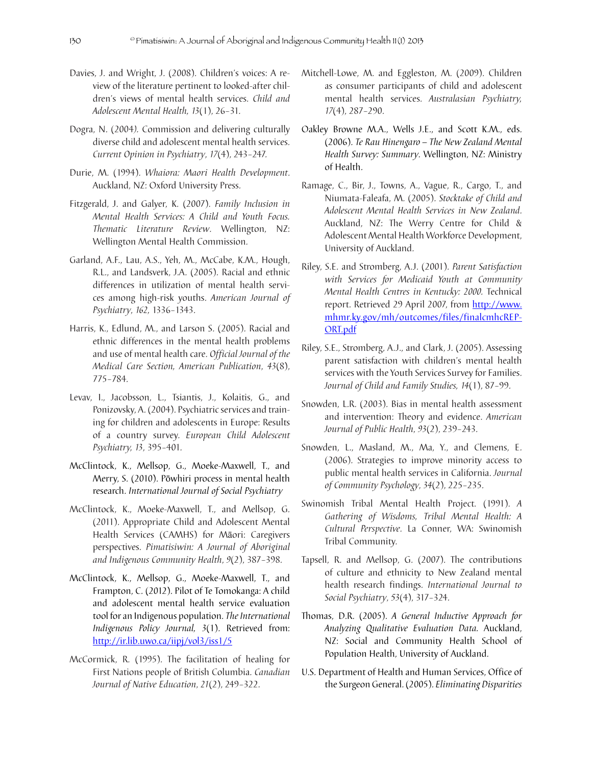- Davies, J. and Wright, J. (2008). Children's voices: A review of the literature pertinent to looked-after children's views of mental health services. *Child and Adolescent Mental Health, 13*(1), 26–31.
- Dogra, N. (2004*).* Commission and delivering culturally diverse child and adolescent mental health services. *Current Opinion in Psychiatry*, *17*(4), 243–247.
- Durie, M. (1994). *Whaiora: Maori Health Development*. Auckland, NZ: Oxford University Press.
- Fitzgerald, J. and Galyer, K. (2007). *Family Inclusion in Mental Health Services: A Child and Youth Focus. Thematic Literature Review*. Wellington, NZ: Wellington Mental Health Commission.
- Garland, A.F., Lau, A.S., Yeh, M., McCabe, K.M., Hough, R.L., and Landsverk, J.A. (2005). Racial and ethnic differences in utilization of mental health services among high-risk youths. *American Journal of Psychiatry*, *162,* 1336–1343.
- Harris, K., Edlund, M., and Larson S. (2005). Racial and ethnic differences in the mental health problems and use of mental health care. *Official Journal of the Medical Care Section, American Publication*, *43*(8), 775–784.
- Levav, I., Jacobsson, L., Tsiantis, J., Kolaitis, G., and Ponizovsky, A. (2004). Psychiatric services and training for children and adolescents in Europe: Results of a country survey. *European Child Adolescent Psychiatry, 13*, 395–401.
- McClintock, K., Mellsop, G., Moeke-Maxwell, T., and Merry, S. (2010). Pōwhiri process in mental health research. *International Journal of Social Psychiatry*
- McClintock, K., Moeke-Maxwell, T., and Mellsop, G. (2011). Appropriate Child and Adolescent Mental Health Services (CAMHS) for Māori: Caregivers perspectives. *Pimatisiwin: A Journal of Aboriginal and Indigenous Community Health*, *9*(2), 387–398.
- McClintock, K., Mellsop, G., Moeke-Maxwell, T., and Frampton, C. (2012). Pilot of Te Tomokanga: A child and adolescent mental health service evaluation tool for an Indigenous population. *The International Indigenous Policy Journal, 3*(1). Retrieved from: http://ir.lib.uwo.ca/iipj/vol3/iss1/5
- McCormick, R. (1995). The facilitation of healing for First Nations people of British Columbia. *Canadian Journal of Native Education*, *21*(2), 249–322.
- Mitchell-Lowe, M. and Eggleston, M. (2009). Children as consumer participants of child and adolescent mental health services. *Australasian Psychiatry, 17*(4), 287–290.
- Oakley Browne M.A., Wells J.E., and Scott K.M., eds. (2006). *Te Rau Hinengaro – The New Zealand Mental Health Survey: Summary*. Wellington, NZ: Ministry of Health.
- Ramage, C., Bir, J., Towns, A., Vague, R., Cargo, T., and Niumata-Faleafa, M. (2005). *Stocktake of Child and Adolescent Mental Health Services in New Zealand*. Auckland, NZ: The Werry Centre for Child & Adolescent Mental Health Workforce Development, University of Auckland.
- Riley, S.E. and Stromberg, A.J. (2001). *Parent Satisfaction with Services for Medicaid Youth at Community Mental Health Centres in Kentucky: 2000.* Technical report. Retrieved 29 April 2007, from http://www. mhmr.ky.gov/mh/outcomes/files/finalcmhcREP-ORT.pdf
- Riley, S.E., Stromberg, A.J., and Clark, J. (2005). Assessing parent satisfaction with children's mental health services with the Youth Services Survey for Families. *Journal of Child and Family Studies, 14*(1), 87–99.
- Snowden, L.R. (2003). Bias in mental health assessment and intervention: Theory and evidence. *American Journal of Public Health*, *93*(2), 239–243.
- Snowden, L., Masland, M., Ma, Y., and Clemens, E. (2006). Strategies to improve minority access to public mental health services in California. *Journal of Community Psychology*, *34*(2), 225–235.
- Swinomish Tribal Mental Health Project. (1991). *A Gathering of Wisdoms, Tribal Mental Health: A Cultural Perspective*. La Conner, WA: Swinomish Tribal Community.
- Tapsell, R. and Mellsop, G. (2007). The contributions of culture and ethnicity to New Zealand mental health research findings. *International Journal to Social Psychiatry*, *53*(4), 317–324.
- Thomas, D.R. (2005). *A General Inductive Approach for Analyzing Qualitative Evaluation Data.* Auckland, NZ: Social and Community Health School of Population Health, University of Auckland.
- U.S. Department of Health and Human Services, Office of the Surgeon General. (2005). *Eliminating Disparities*